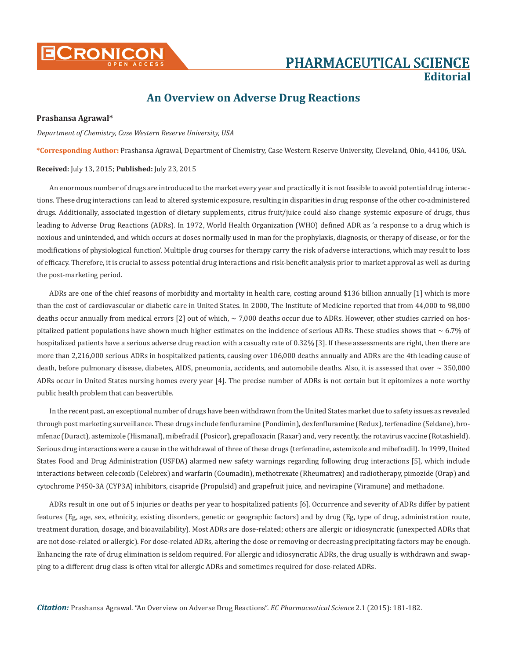

# **Editorial**

## **An Overview on Adverse Drug Reactions**

#### **Prashansa Agrawal\***

*Department of Chemistry, Case Western Reserve University, USA*

**\*Corresponding Author:** Prashansa Agrawal, Department of Chemistry, Case Western Reserve University, Cleveland, Ohio, 44106, USA.

#### **Received:** July 13, 2015; **Published:** July 23, 2015

An enormous number of drugs are introduced to the market every year and practically it is not feasible to avoid potential drug interactions. These drug interactions can lead to altered systemic exposure, resulting in disparities in drug response of the other co-administered drugs. Additionally, associated ingestion of dietary supplements, citrus fruit/juice could also change systemic exposure of drugs, thus leading to Adverse Drug Reactions (ADRs). In 1972, World Health Organization (WHO) defined ADR as 'a response to a drug which is noxious and unintended, and which occurs at doses normally used in man for the prophylaxis, diagnosis, or therapy of disease, or for the modifications of physiological function'. Multiple drug courses for therapy carry the risk of adverse interactions, which may result to loss of efficacy. Therefore, it is crucial to assess potential drug interactions and risk-benefit analysis prior to market approval as well as during the post-marketing period.

ADRs are one of the chief reasons of morbidity and mortality in health care, costing around \$136 billion annually [1] which is more than the cost of cardiovascular or diabetic care in United States. In 2000, The Institute of Medicine reported that from 44,000 to 98,000 deaths occur annually from medical errors [2] out of which, ~ 7,000 deaths occur due to ADRs. However, other studies carried on hospitalized patient populations have shown much higher estimates on the incidence of serious ADRs. These studies shows that  $\sim 6.7\%$  of hospitalized patients have a serious adverse drug reaction with a casualty rate of 0.32% [3]. If these assessments are right, then there are more than 2,216,000 serious ADRs in hospitalized patients, causing over 106,000 deaths annually and ADRs are the 4th leading cause of death, before pulmonary disease, diabetes, AIDS, pneumonia, accidents, and automobile deaths. Also, it is assessed that over  $\sim 350,000$ ADRs occur in United States nursing homes every year [4]. The precise number of ADRs is not certain but it epitomizes a note worthy public health problem that can beavertible.

In the recent past, an exceptional number of drugs have been withdrawn from the United States market due to safety issues as revealed through post marketing surveillance. These drugs include fenfluramine (Pondimin), dexfenfluramine (Redux), terfenadine (Seldane), bromfenac (Duract), astemizole (Hismanal), mibefradil (Posicor), grepafloxacin (Raxar) and, very recently, the rotavirus vaccine (Rotashield). Serious drug interactions were a cause in the withdrawal of three of these drugs (terfenadine, astemizole and mibefradil). In 1999, United States Food and Drug Administration (USFDA) alarmed new safety warnings regarding following drug interactions [5], which include interactions between celecoxib (Celebrex) and warfarin (Coumadin), methotrexate (Rheumatrex) and radiotherapy, pimozide (Orap) and cytochrome P450-3A (CYP3A) inhibitors, cisapride (Propulsid) and grapefruit juice, and nevirapine (Viramune) and methadone.

ADRs result in one out of 5 injuries or deaths per year to hospitalized patients [6]. Occurrence and severity of ADRs differ by patient features (Eg, age, sex, ethnicity, existing disorders, genetic or geographic factors) and by drug (Eg, type of drug, administration route, treatment duration, dosage, and bioavailability). Most ADRs are dose-related; others are allergic or idiosyncratic (unexpected ADRs that are not dose-related or allergic). For dose-related ADRs, altering the dose or removing or decreasing precipitating factors may be enough. Enhancing the rate of drug elimination is seldom required. For allergic and idiosyncratic ADRs, the drug usually is withdrawn and swapping to a different drug class is often vital for allergic ADRs and sometimes required for dose-related ADRs.